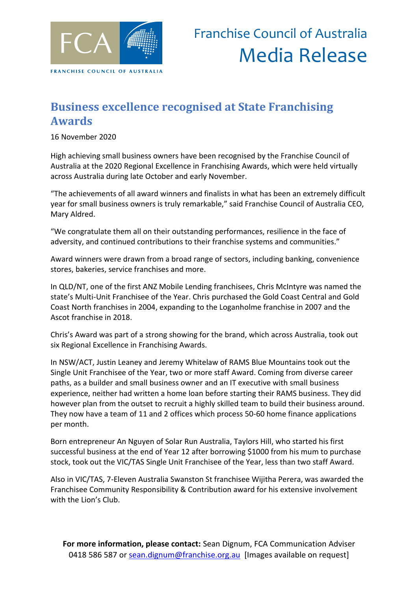

### **Business excellence recognised at State Franchising Awards**

16 November 2020

High achieving small business owners have been recognised by the Franchise Council of Australia at the 2020 Regional Excellence in Franchising Awards, which were held virtually across Australia during late October and early November.

"The achievements of all award winners and finalists in what has been an extremely difficult year for small business owners is truly remarkable," said Franchise Council of Australia CEO, Mary Aldred.

"We congratulate them all on their outstanding performances, resilience in the face of adversity, and continued contributions to their franchise systems and communities."

Award winners were drawn from a broad range of sectors, including banking, convenience stores, bakeries, service franchises and more.

In QLD/NT, one of the first ANZ Mobile Lending franchisees, Chris McIntyre was named the state's Multi-Unit Franchisee of the Year. Chris purchased the Gold Coast Central and Gold Coast North franchises in 2004, expanding to the Loganholme franchise in 2007 and the Ascot franchise in 2018.

Chris's Award was part of a strong showing for the brand, which across Australia, took out six Regional Excellence in Franchising Awards.

In NSW/ACT, Justin Leaney and Jeremy Whitelaw of RAMS Blue Mountains took out the Single Unit Franchisee of the Year, two or more staff Award. Coming from diverse career paths, as a builder and small business owner and an IT executive with small business experience, neither had written a home loan before starting their RAMS business. They did however plan from the outset to recruit a highly skilled team to build their business around. They now have a team of 11 and 2 offices which process 50-60 home finance applications per month.

Born entrepreneur An Nguyen of Solar Run Australia, Taylors Hill, who started his first successful business at the end of Year 12 after borrowing \$1000 from his mum to purchase stock, took out the VIC/TAS Single Unit Franchisee of the Year, less than two staff Award.

Also in VIC/TAS, 7-Eleven Australia Swanston St franchisee Wijitha Perera, was awarded the Franchisee Community Responsibility & Contribution award for his extensive involvement with the Lion's Club.

**For more information, please contact:** Sean Dignum, FCA Communication Adviser 0418 586 587 or [sean.dignum@franchise.org.au](mailto:sean.dignum@franchise.org.au) [Images available on request]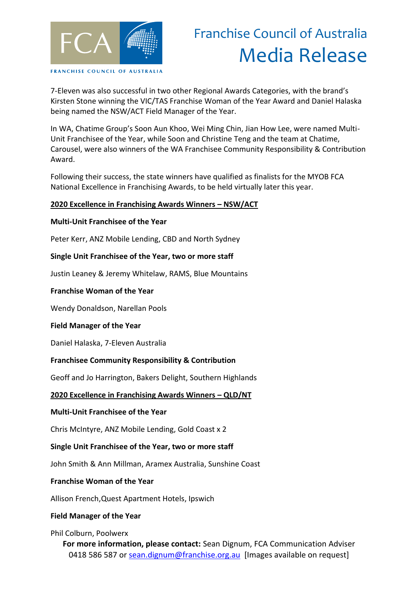

# Franchise Council of Australia Media Release

7-Eleven was also successful in two other Regional Awards Categories, with the brand's Kirsten Stone winning the VIC/TAS Franchise Woman of the Year Award and Daniel Halaska being named the NSW/ACT Field Manager of the Year.

In WA, Chatime Group's Soon Aun Khoo, Wei Ming Chin, Jian How Lee, were named Multi-Unit Franchisee of the Year, while Soon and Christine Teng and the team at Chatime, Carousel, were also winners of the WA Franchisee Community Responsibility & Contribution Award.

Following their success, the state winners have qualified as finalists for the MYOB FCA National Excellence in Franchising Awards, to be held virtually later this year.

#### **2020 Excellence in Franchising Awards Winners – NSW/ACT**

#### **Multi-Unit Franchisee of the Year**

Peter Kerr, ANZ Mobile Lending, CBD and North Sydney

#### **Single Unit Franchisee of the Year, two or more staff**

Justin Leaney & Jeremy Whitelaw, RAMS, Blue Mountains

#### **Franchise Woman of the Year**

Wendy Donaldson, Narellan Pools

#### **Field Manager of the Year**

Daniel Halaska, 7-Eleven Australia

#### **Franchisee Community Responsibility & Contribution**

Geoff and Jo Harrington, Bakers Delight, Southern Highlands

#### **2020 Excellence in Franchising Awards Winners – QLD/NT**

#### **Multi-Unit Franchisee of the Year**

Chris McIntyre, ANZ Mobile Lending, Gold Coast x 2

#### **Single Unit Franchisee of the Year, two or more staff**

John Smith & Ann Millman, Aramex Australia, Sunshine Coast

#### **Franchise Woman of the Year**

Allison French,Quest Apartment Hotels, Ipswich

#### **Field Manager of the Year**

Phil Colburn, Poolwerx

**For more information, please contact:** Sean Dignum, FCA Communication Adviser 0418 586 587 or [sean.dignum@franchise.org.au](mailto:sean.dignum@franchise.org.au) [Images available on request]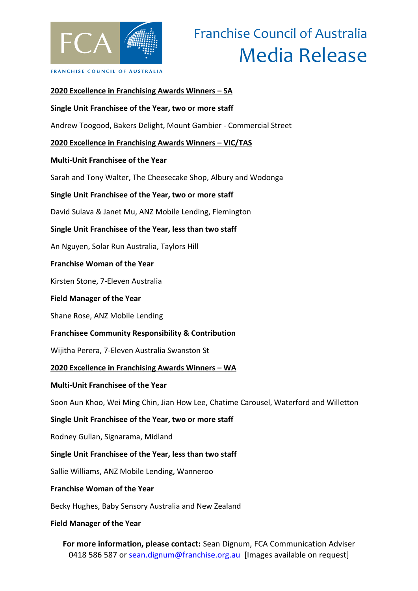

# Franchise Council of Australia Media Release

## **For more information, please contact:** Sean Dignum, FCA Communication Adviser **2020 Excellence in Franchising Awards Winners – SA Single Unit Franchisee of the Year, two or more staff** Andrew Toogood, Bakers Delight, Mount Gambier - Commercial Street **2020 Excellence in Franchising Awards Winners – VIC/TAS Multi-Unit Franchisee of the Year** Sarah and Tony Walter, The Cheesecake Shop, Albury and Wodonga **Single Unit Franchisee of the Year, two or more staff** David Sulava & Janet Mu, ANZ Mobile Lending, Flemington **Single Unit Franchisee of the Year, less than two staff** An Nguyen, Solar Run Australia, Taylors Hill **Franchise Woman of the Year** Kirsten Stone, 7-Eleven Australia **Field Manager of the Year** Shane Rose, ANZ Mobile Lending **Franchisee Community Responsibility & Contribution** Wijitha Perera, 7-Eleven Australia Swanston St **2020 Excellence in Franchising Awards Winners – WA Multi-Unit Franchisee of the Year** Soon Aun Khoo, Wei Ming Chin, Jian How Lee, Chatime Carousel, Waterford and Willetton **Single Unit Franchisee of the Year, two or more staff** Rodney Gullan, Signarama, Midland **Single Unit Franchisee of the Year, less than two staff** Sallie Williams, ANZ Mobile Lending, Wanneroo **Franchise Woman of the Year** Becky Hughes, Baby Sensory Australia and New Zealand **Field Manager of the Year**

0418 586 587 or [sean.dignum@franchise.org.au](mailto:sean.dignum@franchise.org.au) [Images available on request]